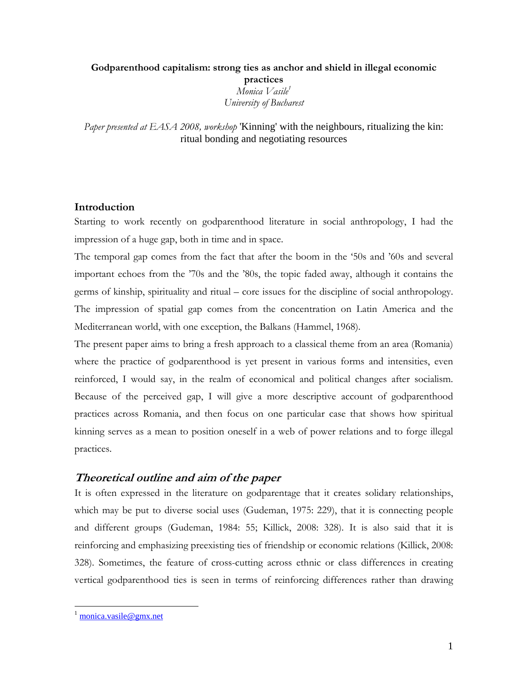# **Godparenthood capitalism: strong ties as anchor and shield in illegal economic practices**  *Monica Vasile1 University of Bucharest*

*Paper presented at EASA 2008, workshop* 'Kinning' with the neighbours, ritualizing the kin: ritual bonding and negotiating resources

# **Introduction**

Starting to work recently on godparenthood literature in social anthropology, I had the impression of a huge gap, both in time and in space.

The temporal gap comes from the fact that after the boom in the '50s and '60s and several important echoes from the '70s and the '80s, the topic faded away, although it contains the germs of kinship, spirituality and ritual – core issues for the discipline of social anthropology. The impression of spatial gap comes from the concentration on Latin America and the Mediterranean world, with one exception, the Balkans (Hammel, 1968).

The present paper aims to bring a fresh approach to a classical theme from an area (Romania) where the practice of godparenthood is yet present in various forms and intensities, even reinforced, I would say, in the realm of economical and political changes after socialism. Because of the perceived gap, I will give a more descriptive account of godparenthood practices across Romania, and then focus on one particular case that shows how spiritual kinning serves as a mean to position oneself in a web of power relations and to forge illegal practices.

# **Theoretical outline and aim of the paper**

It is often expressed in the literature on godparentage that it creates solidary relationships, which may be put to diverse social uses (Gudeman, 1975: 229), that it is connecting people and different groups (Gudeman, 1984: 55; Killick, 2008: 328). It is also said that it is reinforcing and emphasizing preexisting ties of friendship or economic relations (Killick, 2008: 328). Sometimes, the feature of cross-cutting across ethnic or class differences in creating vertical godparenthood ties is seen in terms of reinforcing differences rather than drawing

monica.vasile@gmx.net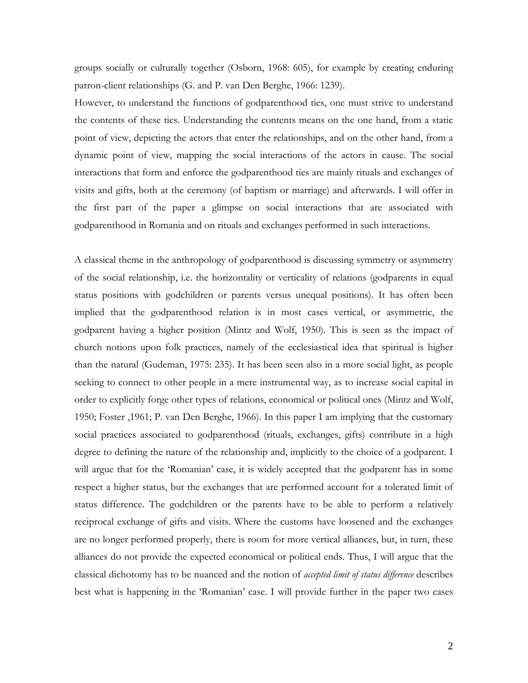groups socially or culturally together (Osborn, 1968: 605), for example by creating enduring patron-client relationships (G. and P. van Den Berghe, 1966: 1239).

However, to understand the functions of godparenthood ties, one must strive to understand the contents of these ties. Understanding the contents means on the one hand, from a static point of view, depicting the actors that enter the relationships, and on the other hand, from a dynamic point of view, mapping the social interactions of the actors in cause. The social interactions that form and enforce the godparenthood ties are mainly rituals and exchanges of visits and gifts, both at the ceremony (of baptism or marriage) and afterwards. I will offer in the first part of the paper a glimpse on social interactions that are associated with godparenthood in Romania and on rituals and exchanges performed in such interactions.

A classical theme in the anthropology of godparenthood is discussing symmetry or asymmetry of the social relationship, i.e. the horizontality or verticality of relations (godparents in equal status positions with godchildren or parents versus unequal positions). It has often been implied that the godparenthood relation is in most cases vertical, or asymmetric, the godparent having a higher position (Mintz and Wolf, 1950). This is seen as the impact of church notions upon folk practices, namely of the ecclesiastical idea that spiritual is higher than the natural (Gudeman, 1975: 235). It has been seen also in a more social light, as people seeking to connect to other people in a mere instrumental way, as to increase social capital in order to explicitly forge other types of relations, economical or political ones (Mintz and Wolf, 1950; Foster ,1961; P. van Den Berghe, 1966). In this paper I am implying that the customary social practices associated to godparenthood (rituals, exchanges, gifts) contribute in a high degree to defining the nature of the relationship and, implicitly to the choice of a godparent. I will argue that for the 'Romanian' case, it is widely accepted that the godparent has in some respect a higher status, but the exchanges that are performed account for a tolerated limit of status difference. The godchildren or the parents have to be able to perform a relatively reciprocal exchange of gifts and visits. Where the customs have loosened and the exchanges are no longer performed properly, there is room for more vertical alliances, but, in turn, these alliances do not provide the expected economical or political ends. Thus, I will argue that the classical dichotomy has to be nuanced and the notion of *accepted limit of status difference* describes best what is happening in the 'Romanian' case. I will provide further in the paper two cases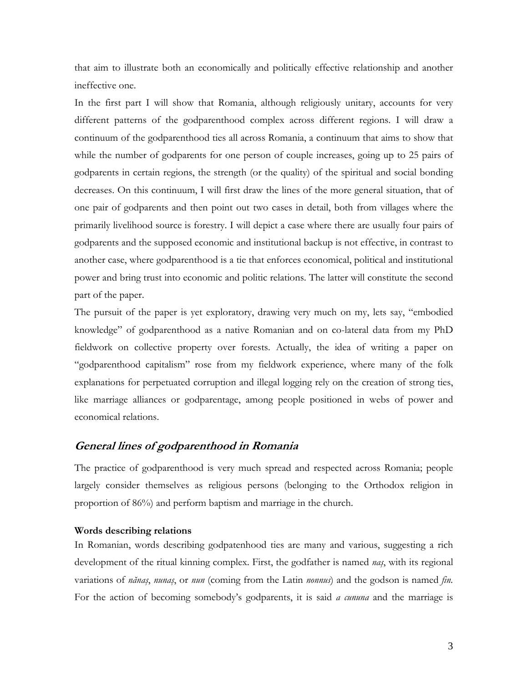that aim to illustrate both an economically and politically effective relationship and another ineffective one.

In the first part I will show that Romania, although religiously unitary, accounts for very different patterns of the godparenthood complex across different regions. I will draw a continuum of the godparenthood ties all across Romania, a continuum that aims to show that while the number of godparents for one person of couple increases, going up to 25 pairs of godparents in certain regions, the strength (or the quality) of the spiritual and social bonding decreases. On this continuum, I will first draw the lines of the more general situation, that of one pair of godparents and then point out two cases in detail, both from villages where the primarily livelihood source is forestry. I will depict a case where there are usually four pairs of godparents and the supposed economic and institutional backup is not effective, in contrast to another case, where godparenthood is a tie that enforces economical, political and institutional power and bring trust into economic and politic relations. The latter will constitute the second part of the paper.

The pursuit of the paper is yet exploratory, drawing very much on my, lets say, "embodied knowledge" of godparenthood as a native Romanian and on co-lateral data from my PhD fieldwork on collective property over forests. Actually, the idea of writing a paper on "godparenthood capitalism" rose from my fieldwork experience, where many of the folk explanations for perpetuated corruption and illegal logging rely on the creation of strong ties, like marriage alliances or godparentage, among people positioned in webs of power and economical relations.

# **General lines of godparenthood in Romania**

The practice of godparenthood is very much spread and respected across Romania; people largely consider themselves as religious persons (belonging to the Orthodox religion in proportion of 86%) and perform baptism and marriage in the church.

#### **Words describing relations**

In Romanian, words describing godpatenhood ties are many and various, suggesting a rich development of the ritual kinning complex. First, the godfather is named *naş*, with its regional variations of *nănaş*, *nunaş*, or *nun* (coming from the Latin *nonnus*) and the godson is named *fin.*  For the action of becoming somebody's godparents, it is said *a cununa* and the marriage is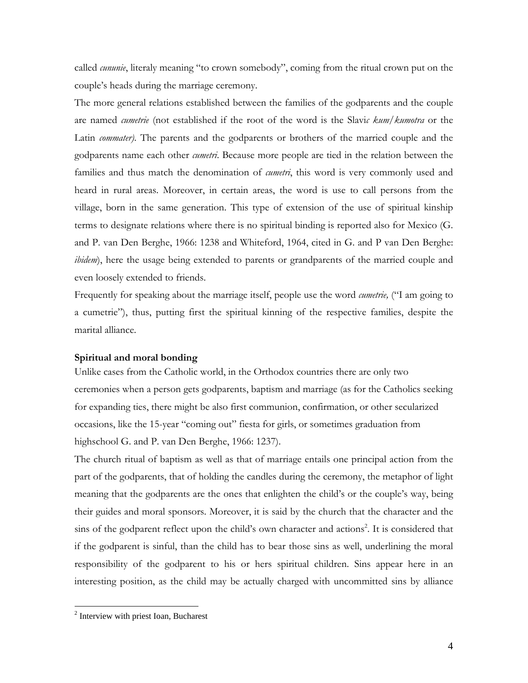called *cununie*, literaly meaning "to crown somebody", coming from the ritual crown put on the couple's heads during the marriage ceremony.

The more general relations established between the families of the godparents and the couple are named *cumetrie* (not established if the root of the word is the Slavi*c kum/kumotra* or the Latin *commater)*. The parents and the godparents or brothers of the married couple and the godparents name each other *cumetri*. Because more people are tied in the relation between the families and thus match the denomination of *cumetri*, this word is very commonly used and heard in rural areas. Moreover, in certain areas, the word is use to call persons from the village, born in the same generation. This type of extension of the use of spiritual kinship terms to designate relations where there is no spiritual binding is reported also for Mexico (G. and P. van Den Berghe, 1966: 1238 and Whiteford, 1964, cited in G. and P van Den Berghe: *ibidem*), here the usage being extended to parents or grandparents of the married couple and even loosely extended to friends.

Frequently for speaking about the marriage itself, people use the word *cumetrie,* ("I am going to a cumetrie"), thus, putting first the spiritual kinning of the respective families, despite the marital alliance.

#### **Spiritual and moral bonding**

Unlike cases from the Catholic world, in the Orthodox countries there are only two ceremonies when a person gets godparents, baptism and marriage (as for the Catholics seeking for expanding ties, there might be also first communion, confirmation, or other secularized occasions, like the 15-year "coming out" fiesta for girls, or sometimes graduation from highschool G. and P. van Den Berghe, 1966: 1237).

The church ritual of baptism as well as that of marriage entails one principal action from the part of the godparents, that of holding the candles during the ceremony, the metaphor of light meaning that the godparents are the ones that enlighten the child's or the couple's way, being their guides and moral sponsors. Moreover, it is said by the church that the character and the sins of the godparent reflect upon the child's own character and actions<sup>2</sup>. It is considered that if the godparent is sinful, than the child has to bear those sins as well, underlining the moral responsibility of the godparent to his or hers spiritual children. Sins appear here in an interesting position, as the child may be actually charged with uncommitted sins by alliance

<sup>&</sup>lt;sup>2</sup> Interview with priest Ioan, Bucharest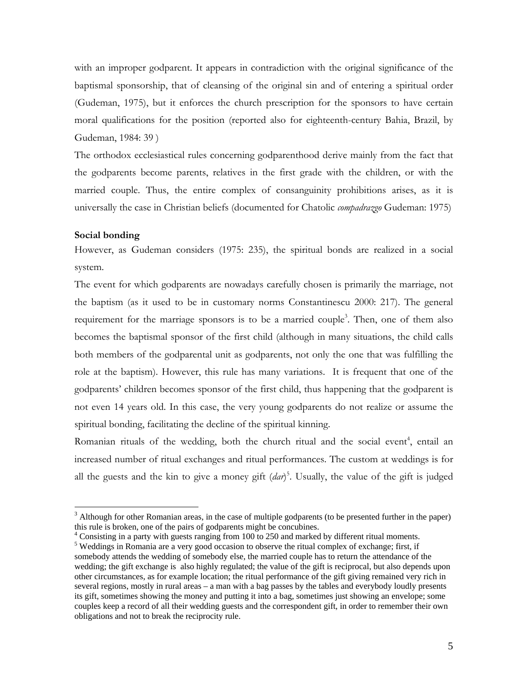with an improper godparent. It appears in contradiction with the original significance of the baptismal sponsorship, that of cleansing of the original sin and of entering a spiritual order (Gudeman, 1975), but it enforces the church prescription for the sponsors to have certain moral qualifications for the position (reported also for eighteenth-century Bahia, Brazil, by Gudeman, 1984: 39 )

The orthodox ecclesiastical rules concerning godparenthood derive mainly from the fact that the godparents become parents, relatives in the first grade with the children, or with the married couple. Thus, the entire complex of consanguinity prohibitions arises, as it is universally the case in Christian beliefs (documented for Chatolic *compadrazgo* Gudeman: 1975)

#### **Social bonding**

 $\overline{a}$ 

However, as Gudeman considers (1975: 235), the spiritual bonds are realized in a social system.

The event for which godparents are nowadays carefully chosen is primarily the marriage, not the baptism (as it used to be in customary norms Constantinescu 2000: 217). The general requirement for the marriage sponsors is to be a married couple<sup>3</sup>. Then, one of them also becomes the baptismal sponsor of the first child (although in many situations, the child calls both members of the godparental unit as godparents, not only the one that was fulfilling the role at the baptism). However, this rule has many variations. It is frequent that one of the godparents' children becomes sponsor of the first child, thus happening that the godparent is not even 14 years old. In this case, the very young godparents do not realize or assume the spiritual bonding, facilitating the decline of the spiritual kinning.

Romanian rituals of the wedding, both the church ritual and the social event<sup>4</sup>, entail an increased number of ritual exchanges and ritual performances. The custom at weddings is for all the guests and the kin to give a money gift (*dar*) 5 . Usually, the value of the gift is judged

 $4$  Consisting in a party with guests ranging from 100 to 250 and marked by different ritual moments.

 $3$  Although for other Romanian areas, in the case of multiple godparents (to be presented further in the paper) this rule is broken, one of the pairs of godparents might be concubines. 4

<sup>&</sup>lt;sup>5</sup> Weddings in Romania are a very good occasion to observe the ritual complex of exchange; first, if somebody attends the wedding of somebody else, the married couple has to return the attendance of the wedding; the gift exchange is also highly regulated; the value of the gift is reciprocal, but also depends upon other circumstances, as for example location; the ritual performance of the gift giving remained very rich in several regions, mostly in rural areas – a man with a bag passes by the tables and everybody loudly presents its gift, sometimes showing the money and putting it into a bag, sometimes just showing an envelope; some couples keep a record of all their wedding guests and the correspondent gift, in order to remember their own obligations and not to break the reciprocity rule.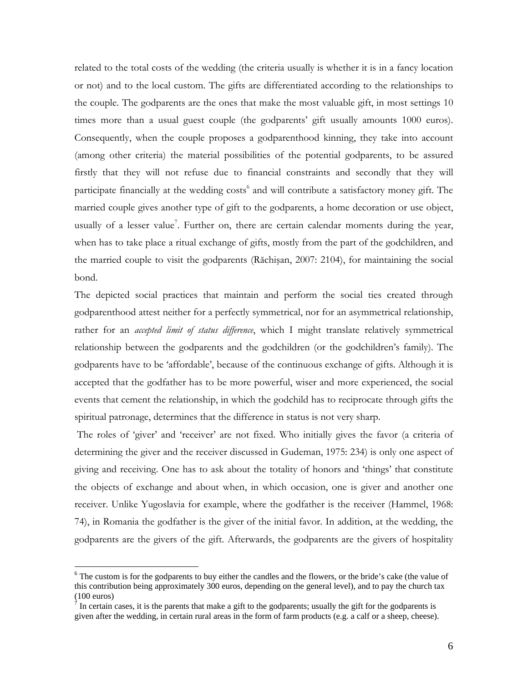related to the total costs of the wedding (the criteria usually is whether it is in a fancy location or not) and to the local custom. The gifts are differentiated according to the relationships to the couple. The godparents are the ones that make the most valuable gift, in most settings 10 times more than a usual guest couple (the godparents' gift usually amounts 1000 euros). Consequently, when the couple proposes a godparenthood kinning, they take into account (among other criteria) the material possibilities of the potential godparents, to be assured firstly that they will not refuse due to financial constraints and secondly that they will participate financially at the wedding costs<sup>6</sup> and will contribute a satisfactory money gift. The married couple gives another type of gift to the godparents, a home decoration or use object, usually of a lesser value<sup>7</sup>. Further on, there are certain calendar moments during the year, when has to take place a ritual exchange of gifts, mostly from the part of the godchildren, and the married couple to visit the godparents (Răchişan, 2007: 2104), for maintaining the social bond.

The depicted social practices that maintain and perform the social ties created through godparenthood attest neither for a perfectly symmetrical, nor for an asymmetrical relationship, rather for an *accepted limit of status difference*, which I might translate relatively symmetrical relationship between the godparents and the godchildren (or the godchildren's family). The godparents have to be 'affordable', because of the continuous exchange of gifts. Although it is accepted that the godfather has to be more powerful, wiser and more experienced, the social events that cement the relationship, in which the godchild has to reciprocate through gifts the spiritual patronage, determines that the difference in status is not very sharp.

The roles of 'giver' and 'receiver' are not fixed. Who initially gives the favor (a criteria of determining the giver and the receiver discussed in Gudeman, 1975: 234) is only one aspect of giving and receiving. One has to ask about the totality of honors and 'things' that constitute the objects of exchange and about when, in which occasion, one is giver and another one receiver. Unlike Yugoslavia for example, where the godfather is the receiver (Hammel, 1968: 74), in Romania the godfather is the giver of the initial favor. In addition, at the wedding, the godparents are the givers of the gift. Afterwards, the godparents are the givers of hospitality

<sup>&</sup>lt;sup>6</sup> The custom is for the godparents to buy either the candles and the flowers, or the bride's cake (the value of this contribution being approximately 300 euros, depending on the general level), and to pay the church tax (100 euros)<br><sup>7</sup> In certain cases, it is the parents that make a gift to the godparents; usually the gift for the godparents is

given after the wedding, in certain rural areas in the form of farm products (e.g. a calf or a sheep, cheese).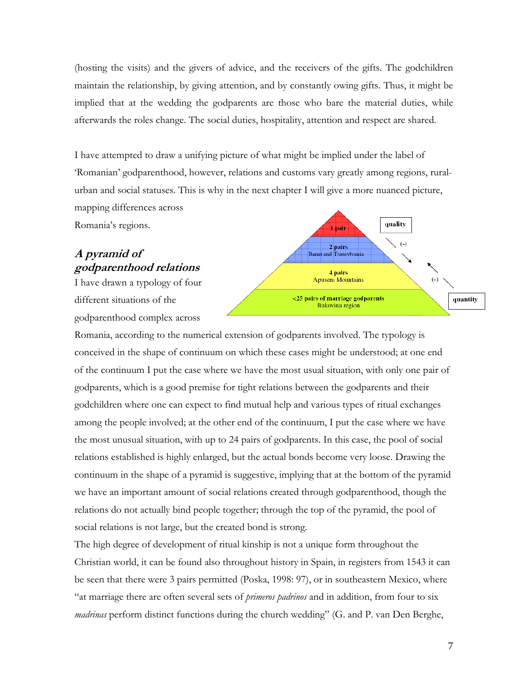(hosting the visits) and the givers of advice, and the receivers of the gifts. The godchildren maintain the relationship, by giving attention, and by constantly owing gifts. Thus, it might be implied that at the wedding the godparents are those who bare the material duties, while afterwards the roles change. The social duties, hospitality, attention and respect are shared.

I have attempted to draw a unifying picture of what might be implied under the label of 'Romanian' godparenthood, however, relations and customs vary greatly among regions, ruralurban and social statuses. This is why in the next chapter I will give a more nuanced picture, mapping differences across

Romania's regions.

# **A pyramid of godparenthood relations**

I have drawn a typology of four different situations of the godparenthood complex across



Romania, according to the numerical extension of godparents involved. The typology is conceived in the shape of continuum on which these cases might be understood; at one end of the continuum I put the case where we have the most usual situation, with only one pair of godparents, which is a good premise for tight relations between the godparents and their godchildren where one can expect to find mutual help and various types of ritual exchanges among the people involved; at the other end of the continuum, I put the case where we have the most unusual situation, with up to 24 pairs of godparents. In this case, the pool of social relations established is highly enlarged, but the actual bonds become very loose. Drawing the continuum in the shape of a pyramid is suggestive, implying that at the bottom of the pyramid we have an important amount of social relations created through godparenthood, though the relations do not actually bind people together; through the top of the pyramid, the pool of social relations is not large, but the created bond is strong.

The high degree of development of ritual kinship is not a unique form throughout the Christian world, it can be found also throughout history in Spain, in registers from 1543 it can be seen that there were 3 pairs permitted (Poska, 1998: 97), or in southeastern Mexico, where "at marriage there are often several sets of *primeros padrinos* and in addition, from four to six *madrinas* perform distinct functions during the church wedding" (G. and P. van Den Berghe,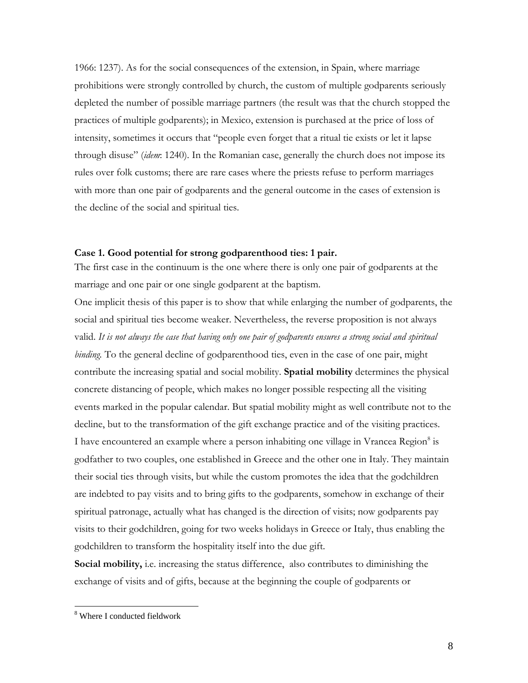1966: 1237). As for the social consequences of the extension, in Spain, where marriage prohibitions were strongly controlled by church, the custom of multiple godparents seriously depleted the number of possible marriage partners (the result was that the church stopped the practices of multiple godparents); in Mexico, extension is purchased at the price of loss of intensity, sometimes it occurs that "people even forget that a ritual tie exists or let it lapse through disuse" (*idem*: 1240). In the Romanian case, generally the church does not impose its rules over folk customs; there are rare cases where the priests refuse to perform marriages with more than one pair of godparents and the general outcome in the cases of extension is the decline of the social and spiritual ties.

#### **Case 1. Good potential for strong godparenthood ties: 1 pair.**

The first case in the continuum is the one where there is only one pair of godparents at the marriage and one pair or one single godparent at the baptism.

One implicit thesis of this paper is to show that while enlarging the number of godparents, the social and spiritual ties become weaker. Nevertheless, the reverse proposition is not always valid. *It is not always the case that having only one pair of godparents ensures a strong social and spiritual binding.* To the general decline of godparenthood ties, even in the case of one pair, might contribute the increasing spatial and social mobility. **Spatial mobility** determines the physical concrete distancing of people, which makes no longer possible respecting all the visiting events marked in the popular calendar. But spatial mobility might as well contribute not to the decline, but to the transformation of the gift exchange practice and of the visiting practices. I have encountered an example where a person inhabiting one village in Vrancea Region<sup>8</sup> is godfather to two couples, one established in Greece and the other one in Italy. They maintain their social ties through visits, but while the custom promotes the idea that the godchildren are indebted to pay visits and to bring gifts to the godparents, somehow in exchange of their spiritual patronage, actually what has changed is the direction of visits; now godparents pay visits to their godchildren, going for two weeks holidays in Greece or Italy, thus enabling the godchildren to transform the hospitality itself into the due gift.

**Social mobility,** i.e. increasing the status difference, also contributes to diminishing the exchange of visits and of gifts, because at the beginning the couple of godparents or

<sup>8</sup> Where I conducted fieldwork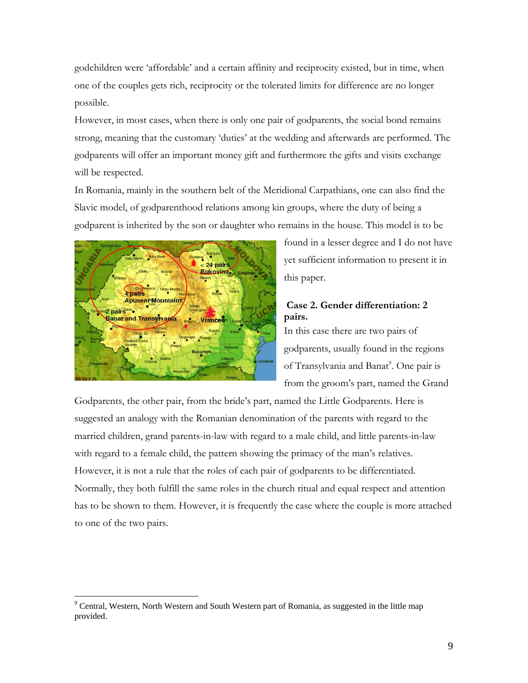godchildren were 'affordable' and a certain affinity and reciprocity existed, but in time, when one of the couples gets rich, reciprocity or the tolerated limits for difference are no longer possible.

However, in most cases, when there is only one pair of godparents, the social bond remains strong, meaning that the customary 'duties' at the wedding and afterwards are performed. The godparents will offer an important money gift and furthermore the gifts and visits exchange will be respected.

In Romania, mainly in the southern belt of the Meridional Carpathians, one can also find the Slavic model, of godparenthood relations among kin groups, where the duty of being a godparent is inherited by the son or daughter who remains in the house. This model is to be



 $\overline{a}$ 

found in a lesser degree and I do not have yet sufficient information to present it in this paper.

# **Case 2. Gender differentiation: 2 pairs.**

In this case there are two pairs of godparents, usually found in the regions of Transylvania and Banat<sup>9</sup>. One pair is from the groom's part, named the Grand

Godparents, the other pair, from the bride's part, named the Little Godparents. Here is suggested an analogy with the Romanian denomination of the parents with regard to the married children, grand parents-in-law with regard to a male child, and little parents-in-law with regard to a female child, the pattern showing the primacy of the man's relatives. However, it is not a rule that the roles of each pair of godparents to be differentiated. Normally, they both fulfill the same roles in the church ritual and equal respect and attention has to be shown to them. However, it is frequently the case where the couple is more attached to one of the two pairs.

<sup>&</sup>lt;sup>9</sup> Central, Western, North Western and South Western part of Romania, as suggested in the little map provided.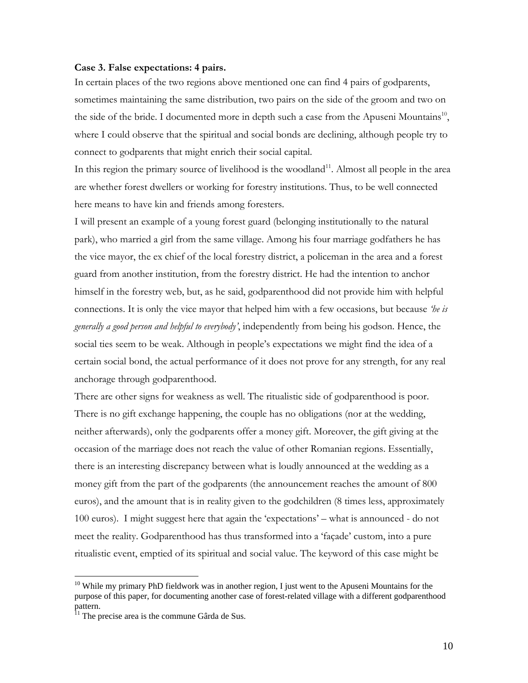#### **Case 3. False expectations: 4 pairs.**

In certain places of the two regions above mentioned one can find 4 pairs of godparents, sometimes maintaining the same distribution, two pairs on the side of the groom and two on the side of the bride. I documented more in depth such a case from the Apuseni Mountains<sup>10</sup>, where I could observe that the spiritual and social bonds are declining, although people try to connect to godparents that might enrich their social capital.

In this region the primary source of livelihood is the woodland<sup>11</sup>. Almost all people in the area are whether forest dwellers or working for forestry institutions. Thus, to be well connected here means to have kin and friends among foresters.

I will present an example of a young forest guard (belonging institutionally to the natural park), who married a girl from the same village. Among his four marriage godfathers he has the vice mayor, the ex chief of the local forestry district, a policeman in the area and a forest guard from another institution, from the forestry district. He had the intention to anchor himself in the forestry web, but, as he said, godparenthood did not provide him with helpful connections. It is only the vice mayor that helped him with a few occasions, but because *'he is generally a good person and helpful to everybody'*, independently from being his godson. Hence, the social ties seem to be weak. Although in people's expectations we might find the idea of a certain social bond, the actual performance of it does not prove for any strength, for any real anchorage through godparenthood.

There are other signs for weakness as well. The ritualistic side of godparenthood is poor. There is no gift exchange happening, the couple has no obligations (nor at the wedding, neither afterwards), only the godparents offer a money gift. Moreover, the gift giving at the occasion of the marriage does not reach the value of other Romanian regions. Essentially, there is an interesting discrepancy between what is loudly announced at the wedding as a money gift from the part of the godparents (the announcement reaches the amount of 800 euros), and the amount that is in reality given to the godchildren (8 times less, approximately 100 euros). I might suggest here that again the 'expectations' – what is announced - do not meet the reality. Godparenthood has thus transformed into a 'façade' custom, into a pure ritualistic event, emptied of its spiritual and social value. The keyword of this case might be

 $10$  While my primary PhD fieldwork was in another region, I just went to the Apuseni Mountains for the purpose of this paper, for documenting another case of forest-related village with a different godparenthood pattern.<br><sup>11</sup> The precise area is the commune Gârda de Sus.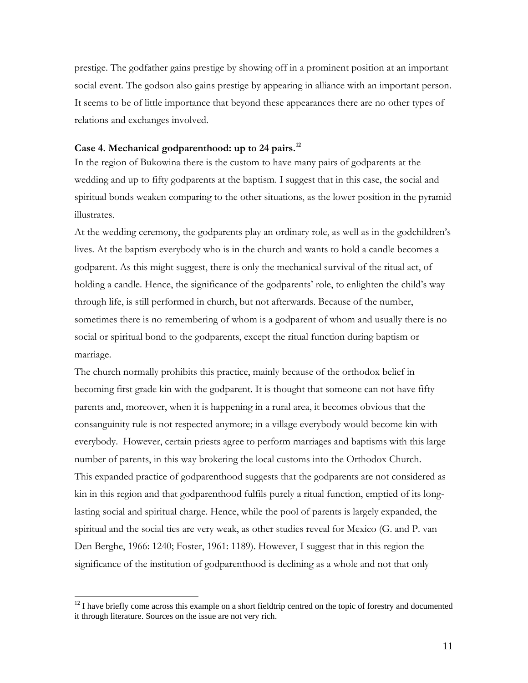prestige. The godfather gains prestige by showing off in a prominent position at an important social event. The godson also gains prestige by appearing in alliance with an important person. It seems to be of little importance that beyond these appearances there are no other types of relations and exchanges involved.

# **Case 4. Mechanical godparenthood: up to 24 pairs.12**

In the region of Bukowina there is the custom to have many pairs of godparents at the wedding and up to fifty godparents at the baptism. I suggest that in this case, the social and spiritual bonds weaken comparing to the other situations, as the lower position in the pyramid illustrates.

At the wedding ceremony, the godparents play an ordinary role, as well as in the godchildren's lives. At the baptism everybody who is in the church and wants to hold a candle becomes a godparent. As this might suggest, there is only the mechanical survival of the ritual act, of holding a candle. Hence, the significance of the godparents' role, to enlighten the child's way through life, is still performed in church, but not afterwards. Because of the number, sometimes there is no remembering of whom is a godparent of whom and usually there is no social or spiritual bond to the godparents, except the ritual function during baptism or marriage.

The church normally prohibits this practice, mainly because of the orthodox belief in becoming first grade kin with the godparent. It is thought that someone can not have fifty parents and, moreover, when it is happening in a rural area, it becomes obvious that the consanguinity rule is not respected anymore; in a village everybody would become kin with everybody. However, certain priests agree to perform marriages and baptisms with this large number of parents, in this way brokering the local customs into the Orthodox Church. This expanded practice of godparenthood suggests that the godparents are not considered as kin in this region and that godparenthood fulfils purely a ritual function, emptied of its longlasting social and spiritual charge. Hence, while the pool of parents is largely expanded, the spiritual and the social ties are very weak, as other studies reveal for Mexico (G. and P. van Den Berghe, 1966: 1240; Foster, 1961: 1189). However, I suggest that in this region the significance of the institution of godparenthood is declining as a whole and not that only

<sup>&</sup>lt;sup>12</sup> I have briefly come across this example on a short fieldtrip centred on the topic of forestry and documented it through literature. Sources on the issue are not very rich.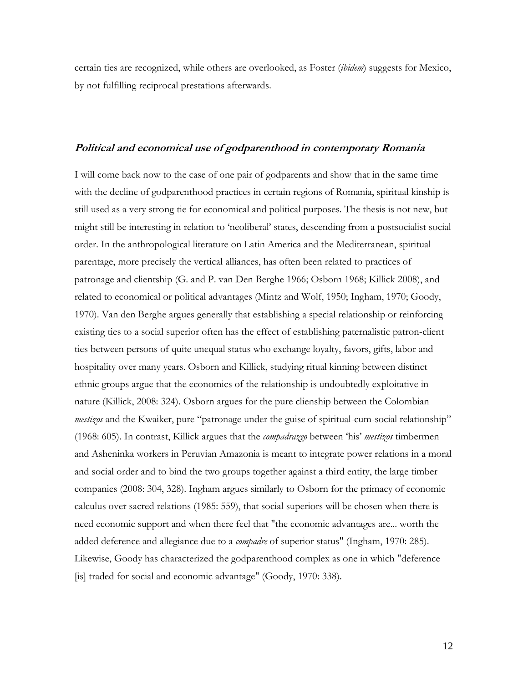certain ties are recognized, while others are overlooked, as Foster (*ibidem*) suggests for Mexico, by not fulfilling reciprocal prestations afterwards.

### **Political and economical use of godparenthood in contemporary Romania**

I will come back now to the case of one pair of godparents and show that in the same time with the decline of godparenthood practices in certain regions of Romania, spiritual kinship is still used as a very strong tie for economical and political purposes. The thesis is not new, but might still be interesting in relation to 'neoliberal' states, descending from a postsocialist social order. In the anthropological literature on Latin America and the Mediterranean, spiritual parentage, more precisely the vertical alliances, has often been related to practices of patronage and clientship (G. and P. van Den Berghe 1966; Osborn 1968; Killick 2008), and related to economical or political advantages (Mintz and Wolf, 1950; Ingham, 1970; Goody, 1970). Van den Berghe argues generally that establishing a special relationship or reinforcing existing ties to a social superior often has the effect of establishing paternalistic patron-client ties between persons of quite unequal status who exchange loyalty, favors, gifts, labor and hospitality over many years. Osborn and Killick, studying ritual kinning between distinct ethnic groups argue that the economics of the relationship is undoubtedly exploitative in nature (Killick, 2008: 324). Osborn argues for the pure clienship between the Colombian *mestizos* and the Kwaiker, pure "patronage under the guise of spiritual-cum-social relationship" (1968: 605). In contrast, Killick argues that the *compadrazgo* between 'his' *mestizos* timbermen and Asheninka workers in Peruvian Amazonia is meant to integrate power relations in a moral and social order and to bind the two groups together against a third entity, the large timber companies (2008: 304, 328). Ingham argues similarly to Osborn for the primacy of economic calculus over sacred relations (1985: 559), that social superiors will be chosen when there is need economic support and when there feel that "the economic advantages are... worth the added deference and allegiance due to a *compadre* of superior status" (Ingham, 1970: 285). Likewise, Goody has characterized the godparenthood complex as one in which "deference [is] traded for social and economic advantage" (Goody, 1970: 338).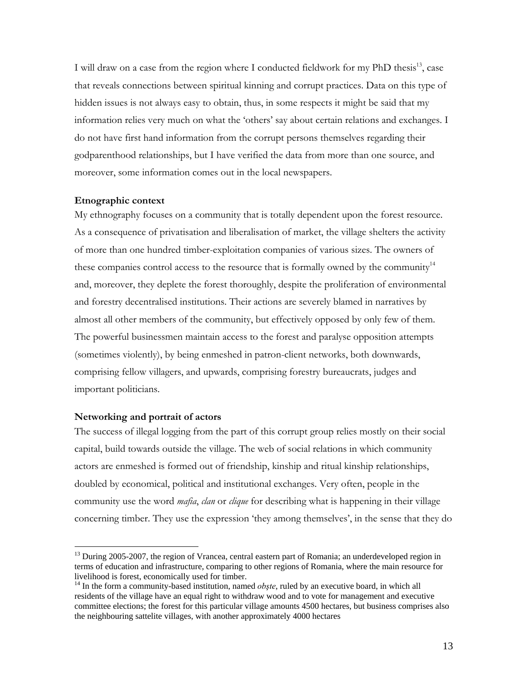I will draw on a case from the region where I conducted fieldwork for my PhD thesis<sup>13</sup>, case that reveals connections between spiritual kinning and corrupt practices. Data on this type of hidden issues is not always easy to obtain, thus, in some respects it might be said that my information relies very much on what the 'others' say about certain relations and exchanges. I do not have first hand information from the corrupt persons themselves regarding their godparenthood relationships, but I have verified the data from more than one source, and moreover, some information comes out in the local newspapers.

#### **Etnographic context**

My ethnography focuses on a community that is totally dependent upon the forest resource. As a consequence of privatisation and liberalisation of market, the village shelters the activity of more than one hundred timber-exploitation companies of various sizes. The owners of these companies control access to the resource that is formally owned by the community<sup>14</sup> and, moreover, they deplete the forest thoroughly, despite the proliferation of environmental and forestry decentralised institutions. Their actions are severely blamed in narratives by almost all other members of the community, but effectively opposed by only few of them. The powerful businessmen maintain access to the forest and paralyse opposition attempts (sometimes violently), by being enmeshed in patron-client networks, both downwards, comprising fellow villagers, and upwards, comprising forestry bureaucrats, judges and important politicians.

### **Networking and portrait of actors**

 $\overline{a}$ 

The success of illegal logging from the part of this corrupt group relies mostly on their social capital, build towards outside the village. The web of social relations in which community actors are enmeshed is formed out of friendship, kinship and ritual kinship relationships, doubled by economical, political and institutional exchanges. Very often, people in the community use the word *mafia*, *clan* or *clique* for describing what is happening in their village concerning timber. They use the expression 'they among themselves', in the sense that they do

<sup>&</sup>lt;sup>13</sup> During 2005-2007, the region of Vrancea, central eastern part of Romania; an underdeveloped region in terms of education and infrastructure, comparing to other regions of Romania, where the main resource for livelihood is forest, economically used for timber.<br><sup>14</sup> In the form a community-based institution, named *obşte*, ruled by an executive board, in which all

residents of the village have an equal right to withdraw wood and to vote for management and executive committee elections; the forest for this particular village amounts 4500 hectares, but business comprises also the neighbouring sattelite villages, with another approximately 4000 hectares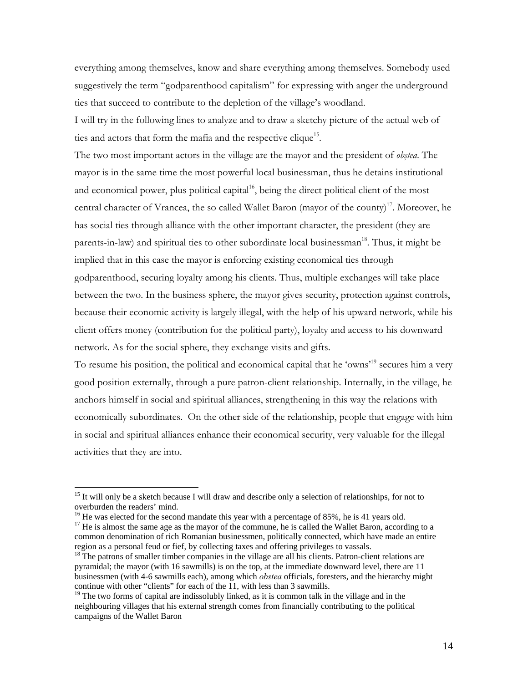everything among themselves, know and share everything among themselves. Somebody used suggestively the term "godparenthood capitalism" for expressing with anger the underground ties that succeed to contribute to the depletion of the village's woodland.

I will try in the following lines to analyze and to draw a sketchy picture of the actual web of ties and actors that form the mafia and the respective clique<sup>15</sup>.

The two most important actors in the village are the mayor and the president of *obştea*. The mayor is in the same time the most powerful local businessman, thus he detains institutional and economical power, plus political capital<sup>16</sup>, being the direct political client of the most central character of Vrancea, the so called Wallet Baron (mayor of the county)<sup>17</sup>. Moreover, he has social ties through alliance with the other important character, the president (they are parents-in-law) and spiritual ties to other subordinate local businessman<sup>18</sup>. Thus, it might be implied that in this case the mayor is enforcing existing economical ties through godparenthood, securing loyalty among his clients. Thus, multiple exchanges will take place between the two. In the business sphere, the mayor gives security, protection against controls, because their economic activity is largely illegal, with the help of his upward network, while his client offers money (contribution for the political party), loyalty and access to his downward network. As for the social sphere, they exchange visits and gifts.

To resume his position, the political and economical capital that he 'owns'19 secures him a very good position externally, through a pure patron-client relationship. Internally, in the village, he anchors himself in social and spiritual alliances, strengthening in this way the relations with economically subordinates. On the other side of the relationship, people that engage with him in social and spiritual alliances enhance their economical security, very valuable for the illegal activities that they are into.

 $15$  It will only be a sketch because I will draw and describe only a selection of relationships, for not to overburden the readers' mind.<br><sup>16</sup> He was elected for the second mandate this year with a percentage of 85%, he is 41 years old.<br><sup>17</sup> He is almost the same age as the mayor of the commune, he is called the Wallet Baron, a

common denomination of rich Romanian businessmen, politically connected, which have made an entire region as a personal feud or fief, by collecting taxes and offering privileges to vassals.<br><sup>18</sup> The patrons of smaller timber companies in the village are all his clients. Patron-client relations are

pyramidal; the mayor (with 16 sawmills) is on the top, at the immediate downward level, there are 11 businessmen (with 4-6 sawmills each), among which *obstea* officials, foresters, and the hierarchy might continue with other "clients" for each of the 11, with less than 3 sawmills.

 $19$  The two forms of capital are indissolubly linked, as it is common talk in the village and in the neighbouring villages that his external strength comes from financially contributing to the political campaigns of the Wallet Baron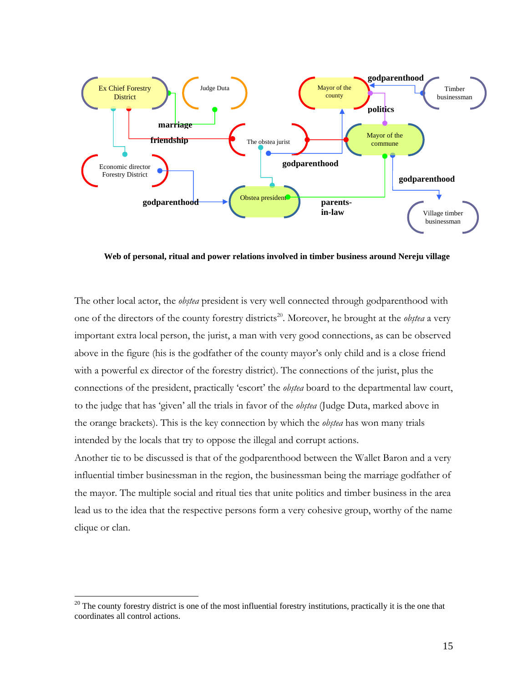

**Web of personal, ritual and power relations involved in timber business around Nereju village**

The other local actor, the *obştea* president is very well connected through godparenthood with one of the directors of the county forestry districts<sup>20</sup>. Moreover, he brought at the *obstea* a very important extra local person, the jurist, a man with very good connections, as can be observed above in the figure (his is the godfather of the county mayor's only child and is a close friend with a powerful ex director of the forestry district). The connections of the jurist, plus the connections of the president, practically 'escort' the *obştea* board to the departmental law court, to the judge that has 'given' all the trials in favor of the *obştea* (Judge Duta, marked above in the orange brackets). This is the key connection by which the *obştea* has won many trials intended by the locals that try to oppose the illegal and corrupt actions.

Another tie to be discussed is that of the godparenthood between the Wallet Baron and a very influential timber businessman in the region, the businessman being the marriage godfather of the mayor. The multiple social and ritual ties that unite politics and timber business in the area lead us to the idea that the respective persons form a very cohesive group, worthy of the name clique or clan.

 $20$  The county forestry district is one of the most influential forestry institutions, practically it is the one that coordinates all control actions.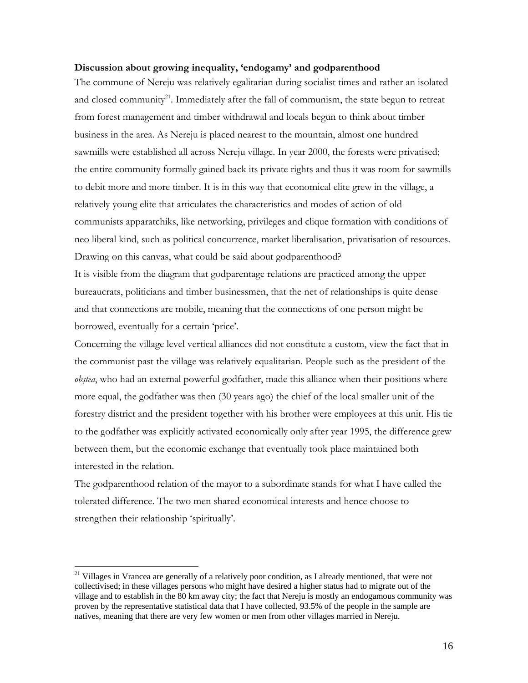### **Discussion about growing inequality, 'endogamy' and godparenthood**

The commune of Nereju was relatively egalitarian during socialist times and rather an isolated and closed community<sup>21</sup>. Immediately after the fall of communism, the state begun to retreat from forest management and timber withdrawal and locals begun to think about timber business in the area. As Nereju is placed nearest to the mountain, almost one hundred sawmills were established all across Nereju village. In year 2000, the forests were privatised; the entire community formally gained back its private rights and thus it was room for sawmills to debit more and more timber. It is in this way that economical elite grew in the village, a relatively young elite that articulates the characteristics and modes of action of old communists apparatchiks, like networking, privileges and clique formation with conditions of neo liberal kind, such as political concurrence, market liberalisation, privatisation of resources. Drawing on this canvas, what could be said about godparenthood?

It is visible from the diagram that godparentage relations are practiced among the upper bureaucrats, politicians and timber businessmen, that the net of relationships is quite dense and that connections are mobile, meaning that the connections of one person might be borrowed, eventually for a certain 'price'.

Concerning the village level vertical alliances did not constitute a custom, view the fact that in the communist past the village was relatively equalitarian. People such as the president of the *obştea*, who had an external powerful godfather, made this alliance when their positions where more equal, the godfather was then (30 years ago) the chief of the local smaller unit of the forestry district and the president together with his brother were employees at this unit. His tie to the godfather was explicitly activated economically only after year 1995, the difference grew between them, but the economic exchange that eventually took place maintained both interested in the relation.

The godparenthood relation of the mayor to a subordinate stands for what I have called the tolerated difference. The two men shared economical interests and hence choose to strengthen their relationship 'spiritually'.

<sup>&</sup>lt;sup>21</sup> Villages in Vrancea are generally of a relatively poor condition, as I already mentioned, that were not collectivised; in these villages persons who might have desired a higher status had to migrate out of the village and to establish in the 80 km away city; the fact that Nereju is mostly an endogamous community was proven by the representative statistical data that I have collected, 93.5% of the people in the sample are natives, meaning that there are very few women or men from other villages married in Nereju.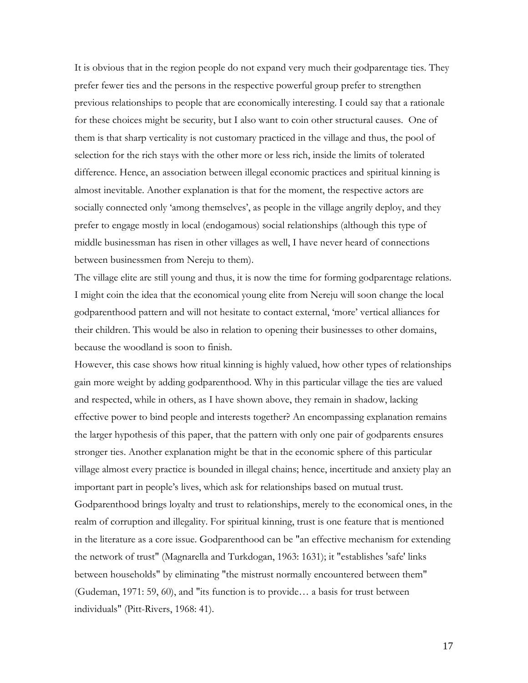It is obvious that in the region people do not expand very much their godparentage ties. They prefer fewer ties and the persons in the respective powerful group prefer to strengthen previous relationships to people that are economically interesting. I could say that a rationale for these choices might be security, but I also want to coin other structural causes. One of them is that sharp verticality is not customary practiced in the village and thus, the pool of selection for the rich stays with the other more or less rich, inside the limits of tolerated difference. Hence, an association between illegal economic practices and spiritual kinning is almost inevitable. Another explanation is that for the moment, the respective actors are socially connected only 'among themselves', as people in the village angrily deploy, and they prefer to engage mostly in local (endogamous) social relationships (although this type of middle businessman has risen in other villages as well, I have never heard of connections between businessmen from Nereju to them).

The village elite are still young and thus, it is now the time for forming godparentage relations. I might coin the idea that the economical young elite from Nereju will soon change the local godparenthood pattern and will not hesitate to contact external, 'more' vertical alliances for their children. This would be also in relation to opening their businesses to other domains, because the woodland is soon to finish.

However, this case shows how ritual kinning is highly valued, how other types of relationships gain more weight by adding godparenthood. Why in this particular village the ties are valued and respected, while in others, as I have shown above, they remain in shadow, lacking effective power to bind people and interests together? An encompassing explanation remains the larger hypothesis of this paper, that the pattern with only one pair of godparents ensures stronger ties. Another explanation might be that in the economic sphere of this particular village almost every practice is bounded in illegal chains; hence, incertitude and anxiety play an important part in people's lives, which ask for relationships based on mutual trust. Godparenthood brings loyalty and trust to relationships, merely to the economical ones, in the realm of corruption and illegality. For spiritual kinning, trust is one feature that is mentioned in the literature as a core issue. Godparenthood can be "an effective mechanism for extending the network of trust" (Magnarella and Turkdogan, 1963: 1631); it "establishes 'safe' links between households" by eliminating "the mistrust normally encountered between them" (Gudeman, 1971: 59, 60), and "its function is to provide… a basis for trust between individuals" (Pitt-Rivers, 1968: 41).

17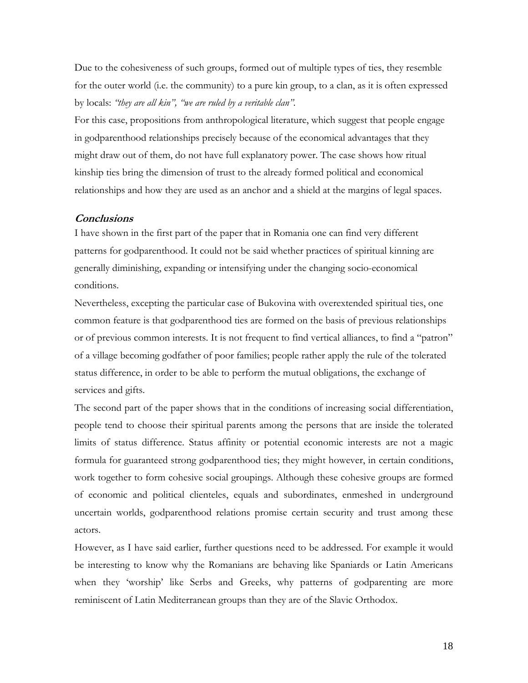Due to the cohesiveness of such groups, formed out of multiple types of ties, they resemble for the outer world (i.e. the community) to a pure kin group, to a clan, as it is often expressed by locals: *"they are all kin", "we are ruled by a veritable clan".*

For this case, propositions from anthropological literature, which suggest that people engage in godparenthood relationships precisely because of the economical advantages that they might draw out of them, do not have full explanatory power. The case shows how ritual kinship ties bring the dimension of trust to the already formed political and economical relationships and how they are used as an anchor and a shield at the margins of legal spaces.

### **Conclusions**

I have shown in the first part of the paper that in Romania one can find very different patterns for godparenthood. It could not be said whether practices of spiritual kinning are generally diminishing, expanding or intensifying under the changing socio-economical conditions.

Nevertheless, excepting the particular case of Bukovina with overextended spiritual ties, one common feature is that godparenthood ties are formed on the basis of previous relationships or of previous common interests. It is not frequent to find vertical alliances, to find a "patron" of a village becoming godfather of poor families; people rather apply the rule of the tolerated status difference, in order to be able to perform the mutual obligations, the exchange of services and gifts.

The second part of the paper shows that in the conditions of increasing social differentiation, people tend to choose their spiritual parents among the persons that are inside the tolerated limits of status difference. Status affinity or potential economic interests are not a magic formula for guaranteed strong godparenthood ties; they might however, in certain conditions, work together to form cohesive social groupings. Although these cohesive groups are formed of economic and political clienteles, equals and subordinates, enmeshed in underground uncertain worlds, godparenthood relations promise certain security and trust among these actors.

However, as I have said earlier, further questions need to be addressed. For example it would be interesting to know why the Romanians are behaving like Spaniards or Latin Americans when they 'worship' like Serbs and Greeks, why patterns of godparenting are more reminiscent of Latin Mediterranean groups than they are of the Slavic Orthodox.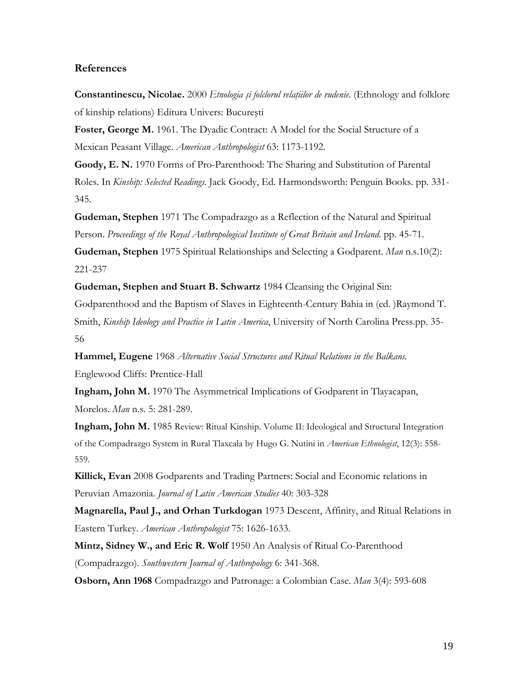### **References**

**Constantinescu, Nicolae.** 2000 *Etnologia şi folclorul relaţiilor de rudenie*. (Ethnology and folklore of kinship relations) Editura Univers: Bucureşti

**Foster, George M.** 1961. The Dyadic Contract: A Model for the Social Structure of a Mexican Peasant Village. *American Anthropologist* 63: 1173-1192.

**Goody, E. N.** 1970 Forms of Pro-Parenthood: The Sharing and Substitution of Parental Roles. In *Kinship: Selected Readings*. Jack Goody, Ed. Harmondsworth: Penguin Books. pp. 331- 345.

**Gudeman, Stephen** 1971 The Compadrazgo as a Reflection of the Natural and Spiritual Person. *Proceedings of the Royal Anthropological Institute of Great Britain and Ireland*. pp. 45-71.

**Gudeman, Stephen** 1975 Spiritual Relationships and Selecting a Godparent. *Man* n.s.10(2): 221-237

**Gudeman, Stephen and Stuart B. Schwartz** 1984 Cleansing the Original Sin:

Godparenthood and the Baptism of Slaves in Eighteenth-Century Bahia in (ed. )Raymond T. Smith, *Kinship Ideology and Practice in Latin America*, University of North Carolina Press.pp. 35- 56

**Hammel, Eugene** 1968 *Alternative Social Structures and Ritual Relations in the Balkans.* Englewood Cliffs: Prentice-Hall

**Ingham, John M.** 1970 The Asymmetrical Implications of Godparent in Tlayacapan, Morelos. *Man* n.s. 5: 281-289.

**Ingham, John M.** 1985 Review: Ritual Kinship. Volume II: Ideological and Structural Integration of the Compadrazgo System in Rural Tlaxcala by Hugo G. Nutini in *American Ethnologist*, 12(3): 558- 559.

**Killick, Evan** 2008 Godparents and Trading Partners: Social and Economic relations in Peruvian Amazonia. *Journal of Latin American Studies* 40: 303-328

**Magnarella, Paul J., and Orhan Turkdogan** 1973 Descent, Affinity, and Ritual Relations in Eastern Turkey. *American Anthropologist* 75: 1626-1633.

**Mintz, Sidney W., and Eric R. Wolf** 1950 An Analysis of Ritual Co-Parenthood (Compadrazgo). *Southwestern Journal of Anthropology* 6: 341-368.

**Osborn, Ann 1968** Compadrazgo and Patronage: a Colombian Case. *Man* 3(4): 593-608